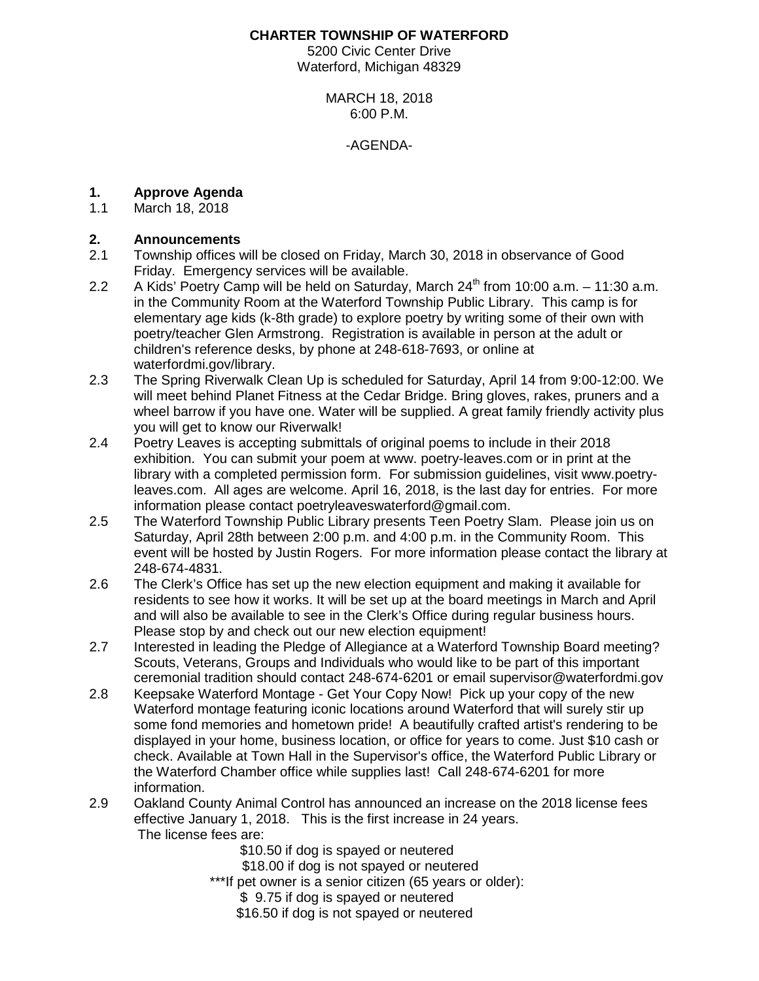### **CHARTER TOWNSHIP OF WATERFORD**

5200 Civic Center Drive Waterford, Michigan 48329

### MARCH 18, 2018 6:00 P.M.

#### -AGENDA-

# **1. Approve Agenda**

March 18, 2018

# **2. Announcements**

- 2.1 Township offices will be closed on Friday, March 30, 2018 in observance of Good Friday. Emergency services will be available.
- 2.2 A Kids' Poetry Camp will be held on Saturday, March  $24<sup>th</sup>$  from 10:00 a.m.  $-11:30$  a.m. in the Community Room at the Waterford Township Public Library. This camp is for elementary age kids (k-8th grade) to explore poetry by writing some of their own with poetry/teacher Glen Armstrong. Registration is available in person at the adult or children's reference desks, by phone at 248-618-7693, or online at waterfordmi.gov/library.
- 2.3 The Spring Riverwalk Clean Up is scheduled for Saturday, April 14 from 9:00-12:00. We will meet behind Planet Fitness at the Cedar Bridge. Bring gloves, rakes, pruners and a wheel barrow if you have one. Water will be supplied. A great family friendly activity plus you will get to know our Riverwalk!
- 2.4 Poetry Leaves is accepting submittals of original poems to include in their 2018 exhibition. You can submit your poem at www. poetry-leaves.com or in print at the library with a completed permission form. For submission guidelines, visit www.poetryleaves.com. All ages are welcome. April 16, 2018, is the last day for entries. For more information please contact [poetryleaveswaterford@gmail.com.](mailto:poetryleaveswaterford@gmail.com)
- 2.5 The Waterford Township Public Library presents Teen Poetry Slam. Please join us on Saturday, April 28th between 2:00 p.m. and 4:00 p.m. in the Community Room. This event will be hosted by Justin Rogers. For more information please contact the library at 248-674-4831.
- 2.6 The Clerk's Office has set up the new election equipment and making it available for residents to see how it works. It will be set up at the board meetings in March and April and will also be available to see in the Clerk's Office during regular business hours. Please stop by and check out our new election equipment!
- 2.7 Interested in leading the Pledge of Allegiance at a Waterford Township Board meeting? Scouts, Veterans, Groups and Individuals who would like to be part of this important ceremonial tradition should contact 248-674-6201 or email supervisor@waterfordmi.gov
- 2.8 Keepsake Waterford Montage Get Your Copy Now! Pick up your copy of the new Waterford montage featuring iconic locations around Waterford that will surely stir up some fond memories and hometown pride! A beautifully crafted artist's rendering to be displayed in your home, business location, or office for years to come. Just \$10 cash or check. Available at Town Hall in the Supervisor's office, the Waterford Public Library or the Waterford Chamber office while supplies last! Call 248-674-6201 for more information.
- 2.9 Oakland County Animal Control has announced an increase on the 2018 license fees effective January 1, 2018. This is the first increase in 24 years. The license fees are:

\$10.50 if dog is spayed or neutered

\$18.00 if dog is not spayed or neutered

\*\*\*If pet owner is a senior citizen (65 years or older):

\$ 9.75 if dog is spayed or neutered

\$16.50 if dog is not spayed or neutered